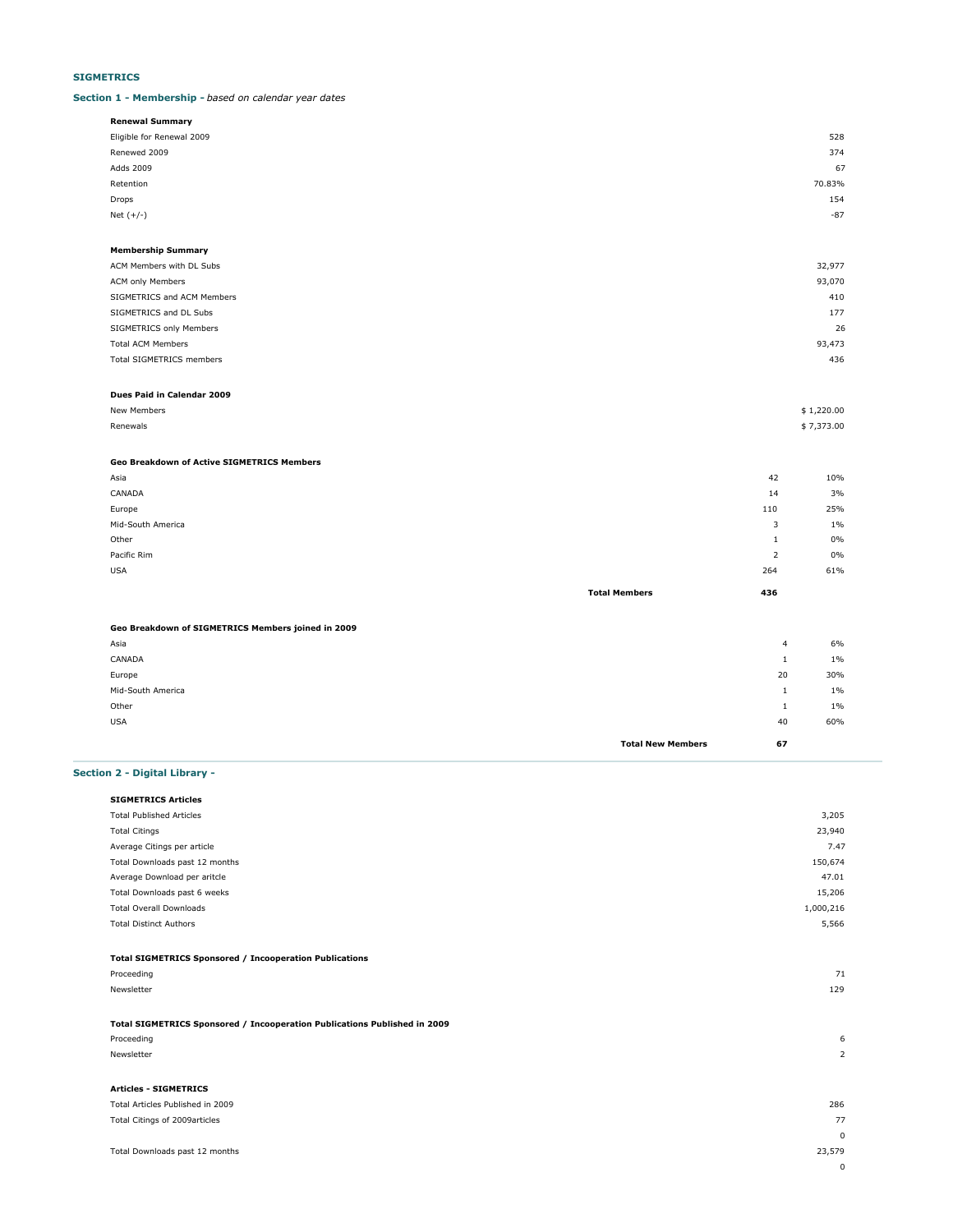## **SIGMETRICS**

### **Section 1 - Membership -** *based on calendar year dates*

| Renewal Summary           |        |
|---------------------------|--------|
| Eligible for Renewal 2009 | 528    |
| Renewed 2009              | 374    |
| Adds 2009                 | 67     |
| Retention                 | 70.83% |
| Drops                     | 154    |
| Net $(+/-)$               | $-87$  |
|                           |        |

#### **Membership Summary** ACM Members with DL Subs 32,977

| ACTITIONIDOIS WILLIDE SUBS | ,,,,,, |
|----------------------------|--------|
| <b>ACM only Members</b>    | 93,070 |
| SIGMETRICS and ACM Members | 410    |
| SIGMETRICS and DL Subs     | 177    |
| SIGMETRICS only Members    | 26     |
| <b>Total ACM Members</b>   | 93,473 |
| Total SIGMETRICS members   | 436    |
|                            |        |

### **Dues Paid in Calendar 2009**

| New Members   | \$1,220.00 |
|---------------|------------|
| Renewals<br>. | \$7,373.00 |

## **Geo Breakdown of Active SIGMETRICS Members**

| Asia              |                      | 42             | 10%   |
|-------------------|----------------------|----------------|-------|
| CANADA            |                      | 14             | 3%    |
| Europe            |                      | 110            | 25%   |
| Mid-South America |                      | 3              | $1\%$ |
| Other             |                      |                | 0%    |
| Pacific Rim       |                      | $\overline{2}$ | 0%    |
| <b>USA</b>        |                      | 264            | 61%   |
|                   | <b>Total Members</b> | 436            |       |

#### **Geo Breakdown of SIGMETRICS Members joined in 2009**

|                   | <b>Total New Members</b> | 67             |       |
|-------------------|--------------------------|----------------|-------|
| <b>USA</b>        |                          | 40             | 60%   |
| Other             |                          |                | $1\%$ |
| Mid-South America |                          | <b>T</b>       | $1\%$ |
| Europe            |                          | 20             | 30%   |
| CANADA            |                          |                | $1\%$ |
| Asia              |                          | $\overline{4}$ | 6%    |
|                   |                          |                |       |

### **Section 2 - Digital Library -**

| <b>SIGMETRICS Articles</b>                                                |           |
|---------------------------------------------------------------------------|-----------|
| <b>Total Published Articles</b>                                           | 3,205     |
| <b>Total Citings</b>                                                      | 23,940    |
| Average Citings per article                                               | 7.47      |
| Total Downloads past 12 months                                            | 150,674   |
| Average Download per aritcle                                              | 47.01     |
| Total Downloads past 6 weeks                                              | 15,206    |
| <b>Total Overall Downloads</b>                                            | 1,000,216 |
| <b>Total Distinct Authors</b>                                             | 5,566     |
|                                                                           |           |
| <b>Total SIGMETRICS Sponsored / Incooperation Publications</b>            |           |
| Proceeding                                                                | 71        |
| Newsletter                                                                | 129       |
|                                                                           |           |
| Total SIGMETRICS Sponsored / Incooperation Publications Published in 2009 |           |
| Proceeding                                                                | 6         |
| Newsletter                                                                | 2         |
|                                                                           |           |

## **Articles - SIGMETRICS**

| Total Articles Published in 2009 | 286      |
|----------------------------------|----------|
| Total Citings of 2009articles    | 77       |
|                                  | $\Omega$ |
| Total Downloads past 12 months   | 23,579   |
|                                  | $\Omega$ |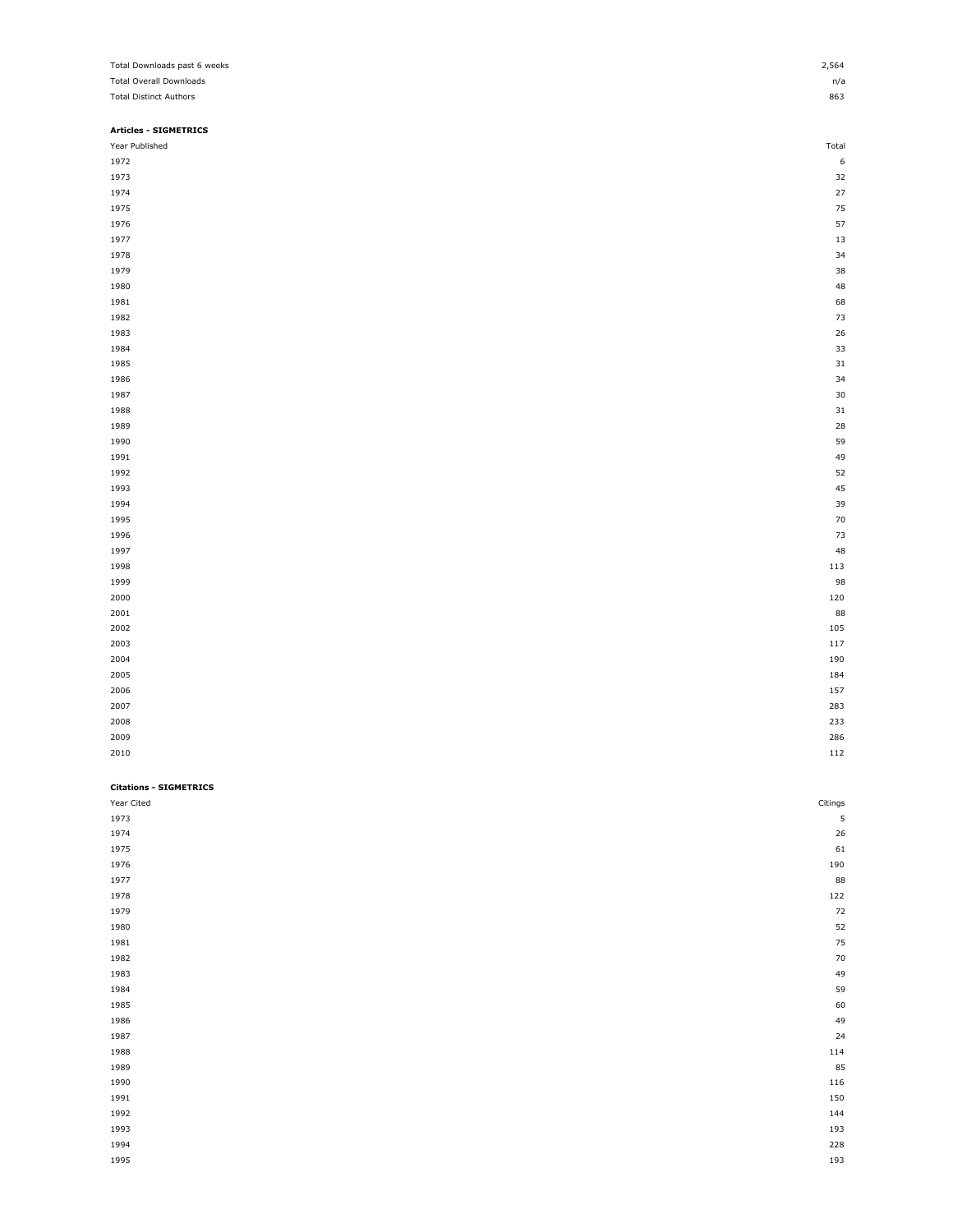| Total Downloads past 6 weeks   | 2,564   |
|--------------------------------|---------|
| <b>Total Overall Downloads</b> | n/a     |
| <b>Total Distinct Authors</b>  | 863     |
|                                |         |
| <b>Articles - SIGMETRICS</b>   |         |
| Year Published                 | Total   |
| 1972                           | 6       |
| 1973                           | 32      |
| 1974                           | 27      |
| 1975                           | 75      |
|                                |         |
| 1976                           | 57      |
| 1977                           | 13      |
| 1978                           | 34      |
| 1979                           | 38      |
| 1980                           | 48      |
| 1981                           | 68      |
| 1982                           | 73      |
| 1983                           | 26      |
| 1984                           | 33      |
| 1985                           | 31      |
| 1986                           | 34      |
| 1987                           | 30      |
| 1988                           | 31      |
| 1989                           | 28      |
| 1990                           | 59      |
|                                |         |
| 1991                           | 49      |
| 1992                           | 52      |
| 1993                           | 45      |
| 1994                           | 39      |
| 1995                           | 70      |
| 1996                           | 73      |
| 1997                           | 48      |
| 1998                           | 113     |
| 1999                           | 98      |
| 2000                           | 120     |
| 2001                           | 88      |
| 2002                           | 105     |
| 2003                           | 117     |
| 2004                           | 190     |
|                                |         |
| 2005                           | 184     |
| 2006                           | 157     |
| 2007                           | 283     |
| 2008                           | 233     |
| 2009                           | 286     |
| 2010                           | 112     |
|                                |         |
| <b>Citations - SIGMETRICS</b>  |         |
| Year Cited                     | Citings |
| 1973                           | 5       |
| 1974                           | 26      |
|                                |         |
| 1975                           | 61      |
| 1976                           | 190     |
| 1977                           | 88      |
| 1978                           | 122     |
| 1979                           | 72      |
| 1980                           | 52      |
| 1981                           | 75      |
| 1982                           | 70      |
| 1983                           | 49      |
| 1984                           | 59      |
| 1985                           | 60      |
| 1986                           | 49      |
| 1987                           | 24      |
|                                |         |
| 1988                           | 114     |
| 1989                           | 85      |
| 1990                           | 116     |
| 1991                           | 150     |
| 1992                           | 144     |
| 1993                           | 193     |
| 1994                           | 228     |
| 1995                           | 193     |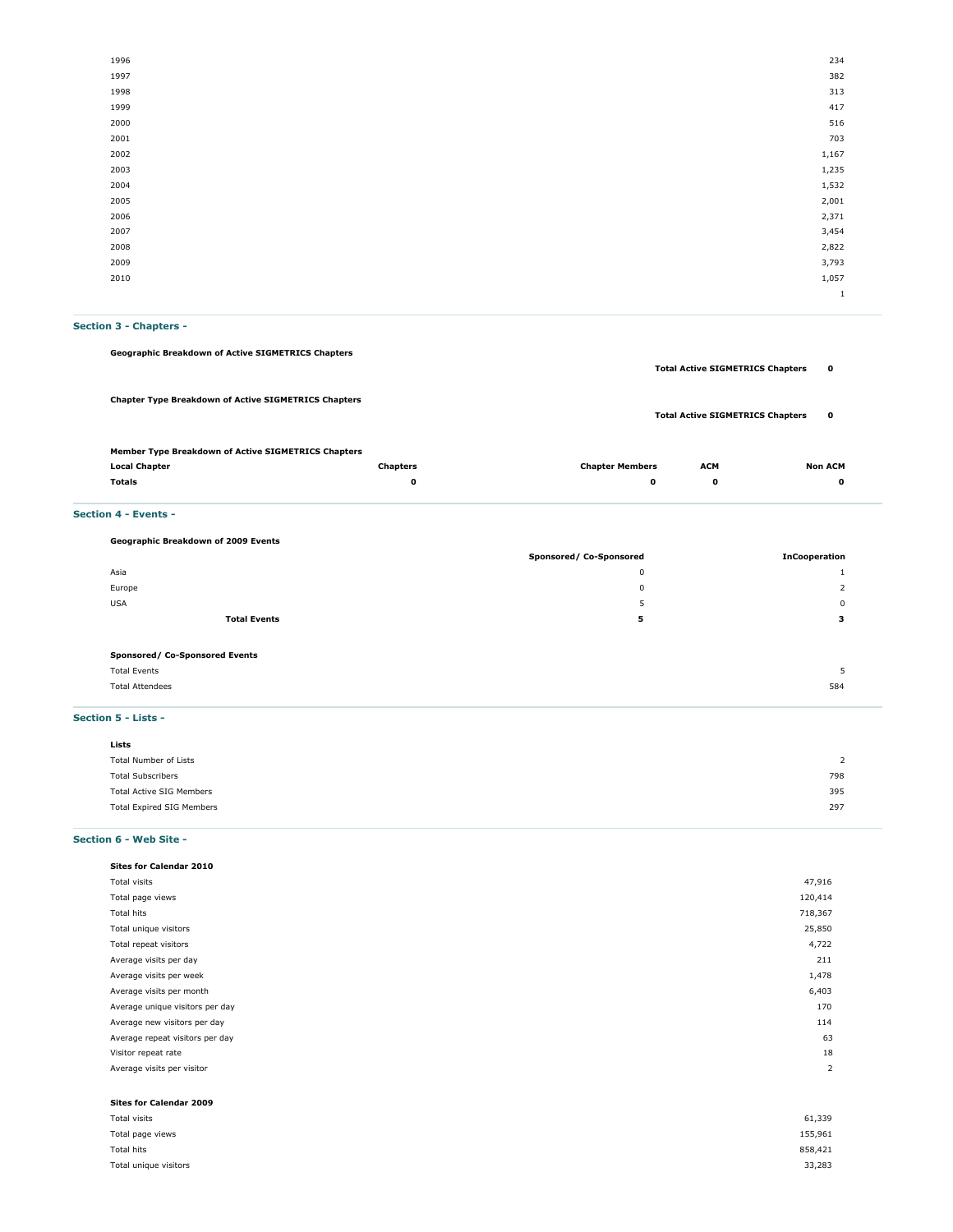| 1996 | 234          |
|------|--------------|
| 1997 | 382          |
| 1998 | 313          |
| 1999 | 417          |
| 2000 | 516          |
| 2001 | 703          |
| 2002 | 1,167        |
| 2003 | 1,235        |
| 2004 | 1,532        |
| 2005 | 2,001        |
| 2006 | 2,371        |
| 2007 | 3,454        |
| 2008 | 2,822        |
| 2009 | 3,793        |
| 2010 | 1,057        |
|      | $\mathbf{1}$ |

# **Section 3 - Chapters -**

| <b>Totals</b>                                               | 0               | 0                      | 0                                       | 0              |
|-------------------------------------------------------------|-----------------|------------------------|-----------------------------------------|----------------|
| <b>Local Chapter</b>                                        | <b>Chapters</b> | <b>Chapter Members</b> | <b>ACM</b>                              | <b>Non ACM</b> |
| Member Type Breakdown of Active SIGMETRICS Chapters         |                 |                        |                                         |                |
| <b>Chapter Type Breakdown of Active SIGMETRICS Chapters</b> |                 |                        | <b>Total Active SIGMETRICS Chapters</b> | $\mathbf o$    |
|                                                             |                 |                        | <b>Total Active SIGMETRICS Chapters</b> | $\mathbf o$    |
| <b>Geographic Breakdown of Active SIGMETRICS Chapters</b>   |                 |                        |                                         |                |

### **Section 4 - Events -**

| Geographic Breakdown of 2009 Events |                         |                      |
|-------------------------------------|-------------------------|----------------------|
|                                     | Sponsored/ Co-Sponsored | <b>InCooperation</b> |
| Asia                                | $\mathbf{0}$            |                      |
| Europe                              | $^{\circ}$              |                      |
| <b>USA</b>                          | 5                       | $\Omega$             |
| <b>Total Events</b>                 | 5                       | з                    |
|                                     |                         |                      |
| Sponsored/ Co-Sponsored Events      |                         |                      |
| <b>Total Events</b>                 |                         | ь                    |
| <b>Total Attendees</b>              |                         | 584                  |
|                                     |                         |                      |
|                                     |                         |                      |

### **Section 5 - Lists -**

| Lists                     |     |
|---------------------------|-----|
| Total Number of Lists     | 2   |
| <b>Total Subscribers</b>  | 798 |
| Total Active SIG Members  | 395 |
| Total Expired SIG Members | 297 |
|                           |     |

# **Section 6 - Web Site -**

| Sites for Calendar 2010         |                |
|---------------------------------|----------------|
| Total visits                    | 47,916         |
| Total page views                | 120,414        |
| Total hits                      | 718,367        |
| Total unique visitors           | 25,850         |
| Total repeat visitors           | 4,722          |
| Average visits per day          | 211            |
| Average visits per week         | 1,478          |
| Average visits per month        | 6,403          |
| Average unique visitors per day | 170            |
| Average new visitors per day    | 114            |
| Average repeat visitors per day | 63             |
| Visitor repeat rate             | 18             |
| Average visits per visitor      | $\overline{2}$ |
|                                 |                |
| Sites for Calendar 2009         |                |
| Total visits                    | 61,339         |
| Total page views                | 155,961        |

Total hits 858,421 Total unique visitors 33,283